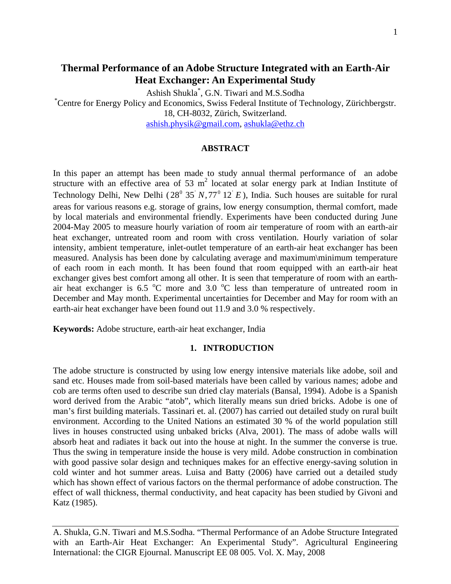# **Thermal Performance of an Adobe Structure Integrated with an Earth-Air Heat Exchanger: An Experimental Study**

Ashish Shukla<sup>\*</sup>, G.N. Tiwari and M.S.Sodha<br><sup>\*</sup>Contra for Energy Policy and Economics, Swiss Eaders, Institute of Te

Centre for Energy Policy and Economics, Swiss Federal Institute of Technology, Zürichbergstr. 18, CH-8032, Zürich, Switzerland.

ashish.physik@gmail.com, ashukla@ethz.ch

### **ABSTRACT**

In this paper an attempt has been made to study annual thermal performance of an adobe structure with an effective area of 53  $m^2$  located at solar energy park at Indian Institute of Technology Delhi, New Delhi ( $28^{\circ}$   $35' N$ ,  $77^{\circ}$   $12' E$ ), India. Such houses are suitable for rural areas for various reasons e.g. storage of grains, low energy consumption, thermal comfort, made by local materials and environmental friendly. Experiments have been conducted during June 2004-May 2005 to measure hourly variation of room air temperature of room with an earth-air heat exchanger, untreated room and room with cross ventilation. Hourly variation of solar intensity, ambient temperature, inlet-outlet temperature of an earth-air heat exchanger has been measured. Analysis has been done by calculating average and maximum\minimum temperature of each room in each month. It has been found that room equipped with an earth-air heat exchanger gives best comfort among all other. It is seen that temperature of room with an earthair heat exchanger is  $6.5\text{ °C}$  more and  $3.0\text{ °C}$  less than temperature of untreated room in December and May month. Experimental uncertainties for December and May for room with an earth-air heat exchanger have been found out 11.9 and 3.0 % respectively.

**Keywords:** Adobe structure, earth-air heat exchanger, India

## **1. INTRODUCTION**

The adobe structure is constructed by using low energy intensive materials like adobe, soil and sand etc. Houses made from soil-based materials have been called by various names; adobe and cob are terms often used to describe sun dried clay materials (Bansal, 1994). Adobe is a Spanish word derived from the Arabic "atob", which literally means sun dried bricks. Adobe is one of man's first building materials. Tassinari et. al. (2007) has carried out detailed study on rural built environment. According to the United Nations an estimated 30 % of the world population still lives in houses constructed using unbaked bricks (Alva, 2001). The mass of adobe walls will absorb heat and radiates it back out into the house at night. In the summer the converse is true. Thus the swing in temperature inside the house is very mild. Adobe construction in combination with good passive solar design and techniques makes for an effective energy-saving solution in cold winter and hot summer areas. Luisa and Batty (2006) have carried out a detailed study which has shown effect of various factors on the thermal performance of adobe construction. The effect of wall thickness, thermal conductivity, and heat capacity has been studied by Givoni and Katz (1985).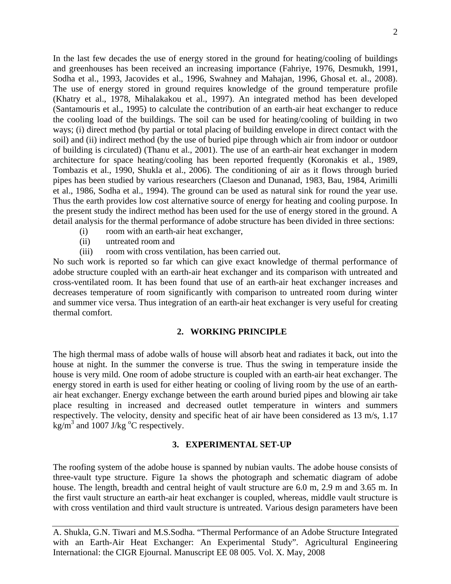In the last few decades the use of energy stored in the ground for heating/cooling of buildings and greenhouses has been received an increasing importance (Fahriye, 1976, Desmukh, 1991, Sodha et al., 1993, Jacovides et al., 1996, Swahney and Mahajan, 1996, Ghosal et. al., 2008). The use of energy stored in ground requires knowledge of the ground temperature profile (Khatry et al., 1978, Mihalakakou et al., 1997). An integrated method has been developed (Santamouris et al., 1995) to calculate the contribution of an earth-air heat exchanger to reduce the cooling load of the buildings. The soil can be used for heating/cooling of building in two ways; (i) direct method (by partial or total placing of building envelope in direct contact with the soil) and (ii) indirect method (by the use of buried pipe through which air from indoor or outdoor of building is circulated) (Thanu et al., 2001). The use of an earth-air heat exchanger in modern architecture for space heating/cooling has been reported frequently (Koronakis et al., 1989, Tombazis et al., 1990, Shukla et al., 2006). The conditioning of air as it flows through buried pipes has been studied by various researchers (Claeson and Dunanad, 1983, Bau, 1984, Arimilli et al., 1986, Sodha et al., 1994). The ground can be used as natural sink for round the year use. Thus the earth provides low cost alternative source of energy for heating and cooling purpose. In the present study the indirect method has been used for the use of energy stored in the ground. A detail analysis for the thermal performance of adobe structure has been divided in three sections:

- (i) room with an earth-air heat exchanger,
- (ii) untreated room and
- (iii) room with cross ventilation, has been carried out.

No such work is reported so far which can give exact knowledge of thermal performance of adobe structure coupled with an earth-air heat exchanger and its comparison with untreated and cross-ventilated room. It has been found that use of an earth-air heat exchanger increases and decreases temperature of room significantly with comparison to untreated room during winter and summer vice versa. Thus integration of an earth-air heat exchanger is very useful for creating thermal comfort.

## **2. WORKING PRINCIPLE**

The high thermal mass of adobe walls of house will absorb heat and radiates it back, out into the house at night. In the summer the converse is true. Thus the swing in temperature inside the house is very mild. One room of adobe structure is coupled with an earth-air heat exchanger. The energy stored in earth is used for either heating or cooling of living room by the use of an earthair heat exchanger. Energy exchange between the earth around buried pipes and blowing air take place resulting in increased and decreased outlet temperature in winters and summers respectively. The velocity, density and specific heat of air have been considered as 13 m/s, 1.17  $\text{kg/m}^3$  and 1007 J/kg  $\text{°C}$  respectively.

## **3. EXPERIMENTAL SET-UP**

The roofing system of the adobe house is spanned by nubian vaults. The adobe house consists of three-vault type structure. Figure 1a shows the photograph and schematic diagram of adobe house. The length, breadth and central height of vault structure are 6.0 m, 2.9 m and 3.65 m. In the first vault structure an earth-air heat exchanger is coupled, whereas, middle vault structure is with cross ventilation and third vault structure is untreated. Various design parameters have been

A. Shukla, G.N. Tiwari and M.S.Sodha. "Thermal Performance of an Adobe Structure Integrated with an Earth-Air Heat Exchanger: An Experimental Study". Agricultural Engineering International: the CIGR Ejournal. Manuscript EE 08 005. Vol. X. May, 2008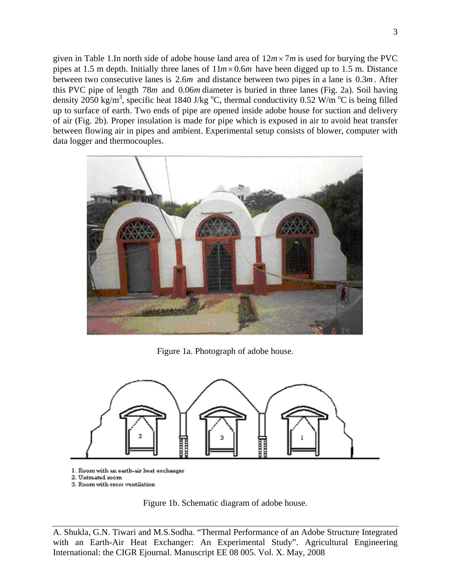given in Table 1.In north side of adobe house land area of 12*m*× 7*m* is used for burying the PVC pipes at 1.5 m depth. Initially three lanes of  $11m \times 0.6m$  have been digged up to 1.5 m. Distance between two consecutive lanes is 2.6*m* and distance between two pipes in a lane is 0.3*m* . After this PVC pipe of length 78*m* and 0.06*m* diameter is buried in three lanes (Fig. 2a). Soil having density 2050 kg/m<sup>3</sup>, specific heat 1840 J/kg  $^{\circ}$ C, thermal conductivity 0.52 W/m  $^{\circ}$ C is being filled up to surface of earth. Two ends of pipe are opened inside adobe house for suction and delivery of air (Fig. 2b). Proper insulation is made for pipe which is exposed in air to avoid heat transfer between flowing air in pipes and ambient. Experimental setup consists of blower, computer with data logger and thermocouples.



Figure 1a. Photograph of adobe house.



- 1. Room with an earth-air heat exchanger
- 2. Untreated room
- 3. Room with cross ventilation

Figure 1b. Schematic diagram of adobe house.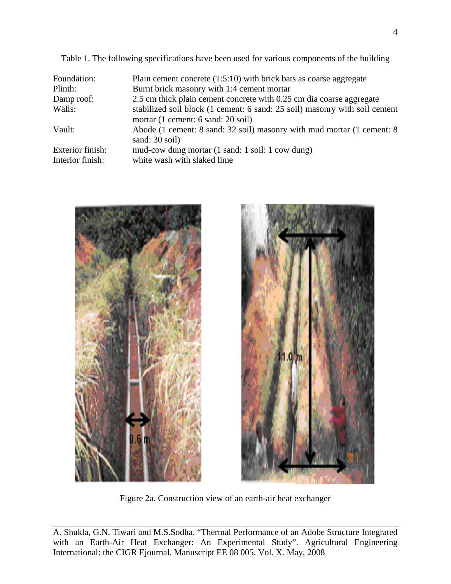Table 1. The following specifications have been used for various components of the building

| Foundation:      | Plain cement concrete $(1:5:10)$ with brick bats as coarse aggregate       |
|------------------|----------------------------------------------------------------------------|
| Plinth:          | Burnt brick masonry with 1:4 cement mortar                                 |
| Damp roof:       | 2.5 cm thick plain cement concrete with 0.25 cm dia coarse aggregate       |
| Walls:           | stabilized soil block (1 cement: 6 sand: 25 soil) masonry with soil cement |
|                  | mortar (1 cement: 6 sand: 20 soil)                                         |
| Vault:           | Abode (1 cement: 8 sand: 32 soil) masonry with mud mortar (1 cement: 8     |
|                  | sand: 30 soil)                                                             |
| Exterior finish: | mud-cow dung mortar (1 sand: 1 soil: 1 cow dung)                           |
| Interior finish: | white wash with slaked lime                                                |
|                  |                                                                            |





Figure 2a. Construction view of an earth-air heat exchanger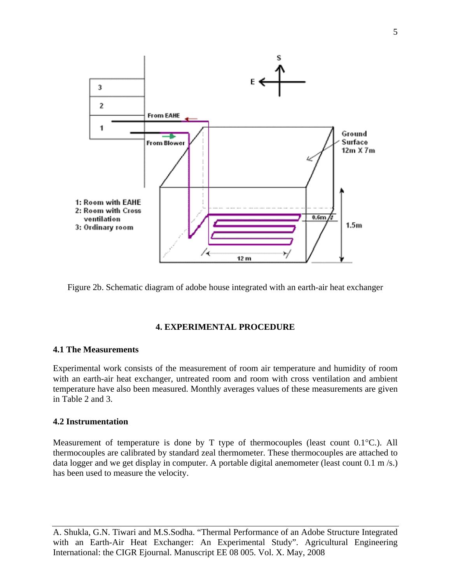

Figure 2b. Schematic diagram of adobe house integrated with an earth-air heat exchanger

### **4. EXPERIMENTAL PROCEDURE**

## **4.1 The Measurements**

Experimental work consists of the measurement of room air temperature and humidity of room with an earth-air heat exchanger, untreated room and room with cross ventilation and ambient temperature have also been measured. Monthly averages values of these measurements are given in Table 2 and 3.

## **4.2 Instrumentation**

Measurement of temperature is done by T type of thermocouples (least count 0.1°C.). All thermocouples are calibrated by standard zeal thermometer. These thermocouples are attached to data logger and we get display in computer. A portable digital anemometer (least count 0.1 m/s.) has been used to measure the velocity.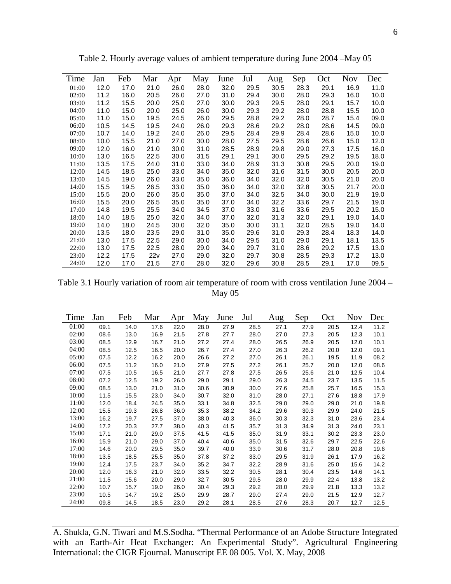| Time  | Jan  | Feb  | Mar  | Apr  | May  | June | Jul  | Aug  | Sep  | Oct  | <b>Nov</b> | Dec  |
|-------|------|------|------|------|------|------|------|------|------|------|------------|------|
| 01:00 | 12.0 | 17.0 | 21.0 | 26.0 | 28.0 | 32.0 | 29.5 | 30.5 | 28.3 | 29.1 | 16.9       | 11.0 |
| 02:00 | 11.2 | 16.0 | 20.5 | 26.0 | 27.0 | 31.0 | 29.4 | 30.0 | 28.0 | 29.3 | 16.0       | 10.0 |
| 03:00 | 11.2 | 15.5 | 20.0 | 25.0 | 27.0 | 30.0 | 29.3 | 29.5 | 28.0 | 29.1 | 15.7       | 10.0 |
| 04:00 | 11.0 | 15.0 | 20.0 | 25.0 | 26.0 | 30.0 | 29.3 | 29.2 | 28.0 | 28.8 | 15.5       | 10.0 |
| 05:00 | 11.0 | 15.0 | 19.5 | 24.5 | 26.0 | 29.5 | 28.8 | 29.2 | 28.0 | 28.7 | 15.4       | 09.0 |
| 06:00 | 10.5 | 14.5 | 19.5 | 24.0 | 26.0 | 29.3 | 28.6 | 29.2 | 28.0 | 28.6 | 14.5       | 09.0 |
| 07:00 | 10.7 | 14.0 | 19.2 | 24.0 | 26.0 | 29.5 | 28.4 | 29.9 | 28.4 | 28.6 | 15.0       | 10.0 |
| 08:00 | 10.0 | 15.5 | 21.0 | 27.0 | 30.0 | 28.0 | 27.5 | 29.5 | 28.6 | 26.6 | 15.0       | 12.0 |
| 09:00 | 12.0 | 16.0 | 21.0 | 30.0 | 31.0 | 28.5 | 28.9 | 29.8 | 29.0 | 27.3 | 17.5       | 16.0 |
| 10:00 | 13.0 | 16.5 | 22.5 | 30.0 | 31.5 | 29.1 | 29.1 | 30.0 | 29.5 | 29.2 | 19.5       | 18.0 |
| 11:00 | 13.5 | 17.5 | 24.0 | 31.0 | 33.0 | 34.0 | 28.9 | 31.3 | 30.8 | 29.5 | 20.0       | 19.0 |
| 12:00 | 14.5 | 18.5 | 25.0 | 33.0 | 34.0 | 35.0 | 32.0 | 31.6 | 31.5 | 30.0 | 20.5       | 20.0 |
| 13:00 | 14.5 | 19.0 | 26.0 | 33.0 | 35.0 | 36.0 | 34.0 | 32.0 | 32.0 | 30.5 | 21.0       | 20.0 |
| 14:00 | 15.5 | 19.5 | 26.5 | 33.0 | 35.0 | 36.0 | 34.0 | 32.0 | 32.8 | 30.5 | 21.7       | 20.0 |
| 15:00 | 15.5 | 20.0 | 26.0 | 35.0 | 35.0 | 37.0 | 34.0 | 32.5 | 34.0 | 30.0 | 21.9       | 19.0 |
| 16:00 | 15.5 | 20.0 | 26.5 | 35.0 | 35.0 | 37.0 | 34.0 | 32.2 | 33.6 | 29.7 | 21.5       | 19.0 |
| 17:00 | 14.8 | 19.5 | 25.5 | 34.0 | 34.5 | 37.0 | 33.0 | 31.6 | 33.6 | 29.5 | 20.2       | 15.0 |
| 18:00 | 14.0 | 18.5 | 25.0 | 32.0 | 34.0 | 37.0 | 32.0 | 31.3 | 32.0 | 29.1 | 19.0       | 14.0 |
| 19:00 | 14.0 | 18.0 | 24.5 | 30.0 | 32.0 | 35.0 | 30.0 | 31.1 | 32.0 | 28.5 | 19.0       | 14.0 |
| 20:00 | 13.5 | 18.0 | 23.5 | 29.0 | 31.0 | 35.0 | 29.6 | 31.0 | 29.3 | 28.4 | 18.3       | 14.0 |
| 21:00 | 13.0 | 17.5 | 22.5 | 29.0 | 30.0 | 34.0 | 29.5 | 31.0 | 29.0 | 29.1 | 18.1       | 13.5 |
| 22:00 | 13.0 | 17.5 | 22.5 | 28.0 | 29.0 | 34.0 | 29.7 | 31.0 | 28.6 | 29.2 | 17.5       | 13.0 |
| 23:00 | 12.2 | 17.5 | 22v  | 27.0 | 29.0 | 32.0 | 29.7 | 30.8 | 28.5 | 29.3 | 17.2       | 13.0 |
| 24:00 | 12.0 | 17.0 | 21.5 | 27.0 | 28.0 | 32.0 | 29.6 | 30.8 | 28.5 | 29.1 | 17.0       | 09.5 |

Table 2. Hourly average values of ambient temperature during June 2004 –May 05

Table 3.1 Hourly variation of room air temperature of room with cross ventilation June 2004 – May 05

| Time  | Jan  | Feb  | Mar  | Apr  | May  | June | Jul  | Aug  | Sep  | Oct  | <b>Nov</b> | Dec  |
|-------|------|------|------|------|------|------|------|------|------|------|------------|------|
| 01:00 | 09.1 | 14.0 | 17.6 | 22.0 | 28.0 | 27.9 | 28.5 | 27.1 | 27.9 | 20.5 | 12.4       | 11.2 |
| 02:00 | 08.6 | 13.0 | 16.9 | 21.5 | 27.8 | 27.7 | 28.0 | 27.0 | 27.3 | 20.5 | 12.3       | 10.1 |
| 03:00 | 08.5 | 12.9 | 16.7 | 21.0 | 27.2 | 27.4 | 28.0 | 26.5 | 26.9 | 20.5 | 12.0       | 10.1 |
| 04:00 | 08.5 | 12.5 | 16.5 | 20.0 | 26.7 | 27.4 | 27.0 | 26.3 | 26.2 | 20.0 | 12.0       | 09.1 |
| 05:00 | 07.5 | 12.2 | 16.2 | 20.0 | 26.6 | 27.2 | 27.0 | 26.1 | 26.1 | 19.5 | 11.9       | 08.2 |
| 06:00 | 07.5 | 11.2 | 16.0 | 21.0 | 27.9 | 27.5 | 27.2 | 26.1 | 25.7 | 20.0 | 12.0       | 08.6 |
| 07:00 | 07.5 | 10.5 | 16.5 | 21.0 | 27.7 | 27.8 | 27.5 | 26.5 | 25.6 | 21.0 | 12.5       | 10.4 |
| 08:00 | 07.2 | 12.5 | 19.2 | 26.0 | 29.0 | 29.1 | 29.0 | 26.3 | 24.5 | 23.7 | 13.5       | 11.5 |
| 09:00 | 08.5 | 13.0 | 21.0 | 31.0 | 30.6 | 30.9 | 30.0 | 27.6 | 25.8 | 25.7 | 16.5       | 15.3 |
| 10:00 | 11.5 | 15.5 | 23.0 | 34.0 | 30.7 | 32.0 | 31.0 | 28.0 | 27.1 | 27.6 | 18.8       | 17.9 |
| 11:00 | 12.0 | 18.4 | 24.5 | 35.0 | 33.1 | 34.8 | 32.5 | 29.0 | 29.0 | 29.0 | 21.0       | 19.8 |
| 12:00 | 15.5 | 19.3 | 26.8 | 36.0 | 35.3 | 38.2 | 34.2 | 29.6 | 30.3 | 29.9 | 24.0       | 21.5 |
| 13:00 | 16.2 | 19.7 | 27.5 | 37.0 | 38.0 | 40.3 | 36.0 | 30.3 | 32.3 | 31.0 | 23.6       | 23.4 |
| 14:00 | 17.2 | 20.3 | 27.7 | 38.0 | 40.3 | 41.5 | 35.7 | 31.3 | 34.9 | 31.3 | 24.0       | 23.1 |
| 15:00 | 17.1 | 21.0 | 29.0 | 37.5 | 41.5 | 41.5 | 35.0 | 31.9 | 33.1 | 30.2 | 23.3       | 23.0 |
| 16:00 | 15.9 | 21.0 | 29.0 | 37.0 | 40.4 | 40.6 | 35.0 | 31.5 | 32.6 | 29.7 | 22.5       | 22.6 |
| 17:00 | 14.6 | 20.0 | 29.5 | 35.0 | 39.7 | 40.0 | 33.9 | 30.6 | 31.7 | 28.0 | 20.8       | 19.6 |
| 18:00 | 13.5 | 18.5 | 25.5 | 35.0 | 37.8 | 37.2 | 33.0 | 29.5 | 31.9 | 26.1 | 17.9       | 16.2 |
| 19:00 | 12.4 | 17.5 | 23.7 | 34.0 | 35.2 | 34.7 | 32.2 | 28.9 | 31.6 | 25.0 | 15.6       | 14.2 |
| 20:00 | 12.0 | 16.3 | 21.0 | 32.0 | 33.5 | 32.2 | 30.5 | 28.1 | 30.4 | 23.5 | 14.6       | 14.1 |
| 21:00 | 11.5 | 15.6 | 20.0 | 29.0 | 32.7 | 30.5 | 29.5 | 28.0 | 29.9 | 22.4 | 13.8       | 13.2 |
| 22:00 | 10.7 | 15.7 | 19.0 | 26.0 | 30.4 | 29.3 | 29.2 | 28.0 | 29.9 | 21.8 | 13.3       | 13.2 |
| 23:00 | 10.5 | 14.7 | 19.2 | 25.0 | 29.9 | 28.7 | 29.0 | 27.4 | 29.0 | 21.5 | 12.9       | 12.7 |
| 24:00 | 09.8 | 14.5 | 18.5 | 23.0 | 29.2 | 28.1 | 28.5 | 27.6 | 28.3 | 20.7 | 12.7       | 12.5 |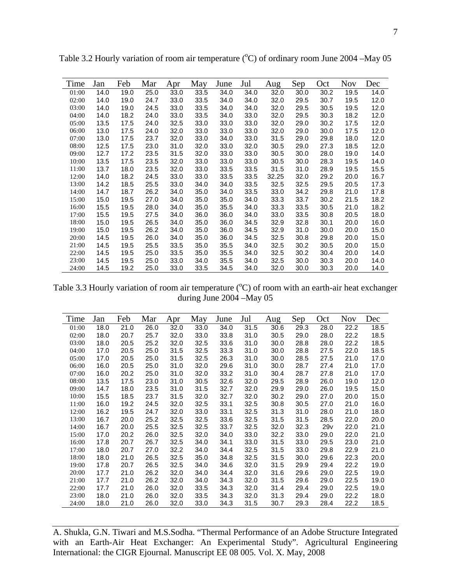| Time  | Jan  | Feb  | Mar  | Apr  | May  | June | Jul  | Aug   | Sep  | Oct  | <b>Nov</b> | Dec  |
|-------|------|------|------|------|------|------|------|-------|------|------|------------|------|
| 01:00 | 14.0 | 19.0 | 25.0 | 33.0 | 33.5 | 34.0 | 34.0 | 32.0  | 30.0 | 30.2 | 19.5       | 14.0 |
| 02:00 | 14.0 | 19.0 | 24.7 | 33.0 | 33.5 | 34.0 | 34.0 | 32.0  | 29.5 | 30.7 | 19.5       | 12.0 |
| 03:00 | 14.0 | 19.0 | 24.5 | 33.0 | 33.5 | 34.0 | 34.0 | 32.0  | 29.5 | 30.5 | 19.5       | 12.0 |
| 04:00 | 14.0 | 18.2 | 24.0 | 33.0 | 33.5 | 34.0 | 33.0 | 32.0  | 29.5 | 30.3 | 18.2       | 12.0 |
| 05:00 | 13.5 | 17.5 | 24.0 | 32.5 | 33.0 | 33.0 | 33.0 | 32.0  | 29.0 | 30.2 | 17.5       | 12.0 |
| 06:00 | 13.0 | 17.5 | 24.0 | 32.0 | 33.0 | 33.0 | 33.0 | 32.0  | 29.0 | 30.0 | 17.5       | 12.0 |
| 07:00 | 13.0 | 17.5 | 23.7 | 32.0 | 33.0 | 34.0 | 33.0 | 31.5  | 29.0 | 29.8 | 18.0       | 12.0 |
| 08:00 | 12.5 | 17.5 | 23.0 | 31.0 | 32.0 | 33.0 | 32.0 | 30.5  | 29.0 | 27.3 | 18.5       | 12.0 |
| 09:00 | 12.7 | 17.2 | 23.5 | 31.5 | 32.0 | 33.0 | 33.0 | 30.5  | 30.0 | 28.0 | 19.0       | 14.0 |
| 10:00 | 13.5 | 17.5 | 23.5 | 32.0 | 33.0 | 33.0 | 33.0 | 30.5  | 30.0 | 28.3 | 19.5       | 14.0 |
| 11:00 | 13.7 | 18.0 | 23.5 | 32.0 | 33.0 | 33.5 | 33.5 | 31.5  | 31.0 | 28.9 | 19.5       | 15.5 |
| 12:00 | 14.0 | 18.2 | 24.5 | 33.0 | 33.0 | 33.5 | 33.5 | 32.25 | 32.0 | 29.2 | 20.0       | 16.7 |
| 13:00 | 14.2 | 18.5 | 25.5 | 33.0 | 34.0 | 34.0 | 33.5 | 32.5  | 32.5 | 29.5 | 20.5       | 17.3 |
| 14:00 | 14.7 | 18.7 | 26.2 | 34.0 | 35.0 | 34.0 | 33.5 | 33.0  | 34.2 | 29.8 | 21.0       | 17.8 |
| 15:00 | 15.0 | 19.5 | 27.0 | 34.0 | 35.0 | 35.0 | 34.0 | 33.3  | 33.7 | 30.2 | 21.5       | 18.2 |
| 16:00 | 15.5 | 19.5 | 28.0 | 34.0 | 35.0 | 35.5 | 34.0 | 33.3  | 33.5 | 30.5 | 21.0       | 18.2 |
| 17:00 | 15.5 | 19.5 | 27.5 | 34.0 | 36.0 | 36.0 | 34.0 | 33.0  | 33.5 | 30.8 | 20.5       | 18.0 |
| 18:00 | 15.0 | 19.5 | 26.5 | 34.0 | 35.0 | 36.0 | 34.5 | 32.9  | 32.8 | 30.1 | 20.0       | 16.0 |
| 19:00 | 15.0 | 19.5 | 26.2 | 34.0 | 35.0 | 36.0 | 34.5 | 32.9  | 31.0 | 30.0 | 20.0       | 15.0 |
| 20:00 | 14.5 | 19.5 | 26.0 | 34.0 | 35.0 | 36.0 | 34.5 | 32.5  | 30.8 | 29.8 | 20.0       | 15.0 |
| 21:00 | 14.5 | 19.5 | 25.5 | 33.5 | 35.0 | 35.5 | 34.0 | 32.5  | 30.2 | 30.5 | 20.0       | 15.0 |
| 22:00 | 14.5 | 19.5 | 25.0 | 33.5 | 35.0 | 35.5 | 34.0 | 32.5  | 30.2 | 30.4 | 20.0       | 14.0 |
| 23:00 | 14.5 | 19.5 | 25.0 | 33.0 | 34.0 | 35.5 | 34.0 | 32.5  | 30.0 | 30.3 | 20.0       | 14.0 |
| 24:00 | 14.5 | 19.2 | 25.0 | 33.0 | 33.5 | 34.5 | 34.0 | 32.0  | 30.0 | 30.3 | 20.0       | 14.0 |

Table 3.2 Hourly variation of room air temperature  $(^{\circ}C)$  of ordinary room June 2004 – May 05

Table 3.3 Hourly variation of room air temperature  $({}^{\circ}C)$  of room with an earth-air heat exchanger during June 2004 –May 05

| Time  | Jan  | Feb  | Mar  | Apr  | May  | June | Jul  | Aug  | Sep  | Oct  | <b>Nov</b> | Dec  |
|-------|------|------|------|------|------|------|------|------|------|------|------------|------|
| 01:00 | 18.0 | 21.0 | 26.0 | 32.0 | 33.0 | 34.0 | 31.5 | 30.6 | 29.3 | 28.0 | 22.2       | 18.5 |
| 02:00 | 18.0 | 20.7 | 25.7 | 32.0 | 33.0 | 33.8 | 31.0 | 30.5 | 29.0 | 28.0 | 22.2       | 18.5 |
| 03:00 | 18.0 | 20.5 | 25.2 | 32.0 | 32.5 | 33.6 | 31.0 | 30.0 | 28.8 | 28.0 | 22.2       | 18.5 |
| 04:00 | 17.0 | 20.5 | 25.0 | 31.5 | 32.5 | 33.3 | 31.0 | 30.0 | 28.8 | 27.5 | 22.0       | 18.5 |
| 05:00 | 17.0 | 20.5 | 25.0 | 31.5 | 32.5 | 26.3 | 31.0 | 30.0 | 28.5 | 27.5 | 21.0       | 17.0 |
| 06:00 | 16.0 | 20.5 | 25.0 | 31.0 | 32.0 | 29.6 | 31.0 | 30.0 | 28.7 | 27.4 | 21.0       | 17.0 |
| 07:00 | 16.0 | 20.2 | 25.0 | 31.0 | 32.0 | 33.2 | 31.0 | 30.4 | 28.7 | 27.8 | 21.0       | 17.0 |
| 08:00 | 13.5 | 17.5 | 23.0 | 31.0 | 30.5 | 32.6 | 32.0 | 29.5 | 28.9 | 26.0 | 19.0       | 12.0 |
| 09:00 | 14.7 | 18.0 | 23.5 | 31.0 | 31.5 | 32.7 | 32.0 | 29.9 | 29.0 | 26.0 | 19.5       | 15.0 |
| 10:00 | 15.5 | 18.5 | 23.7 | 31.5 | 32.0 | 32.7 | 32.0 | 30.2 | 29.0 | 27.0 | 20.0       | 15.0 |
| 11:00 | 16.0 | 19.2 | 24.5 | 32.0 | 32.5 | 33.1 | 32.5 | 30.8 | 30.5 | 27.0 | 21.0       | 16.0 |
| 12:00 | 16.2 | 19.5 | 24.7 | 32.0 | 33.0 | 33.1 | 32.5 | 31.3 | 31.0 | 28.0 | 21.0       | 18.0 |
| 13:00 | 16.7 | 20.0 | 25.2 | 32.5 | 32.5 | 33.6 | 32.5 | 31.5 | 31.5 | 28.5 | 22.0       | 20.0 |
| 14:00 | 16.7 | 20.0 | 25.5 | 32.5 | 32.5 | 33.7 | 32.5 | 32.0 | 32.3 | 29v  | 22.0       | 21.0 |
| 15:00 | 17.0 | 20.2 | 26.0 | 32.5 | 32.0 | 34.0 | 33.0 | 32.2 | 33.0 | 29.0 | 22.0       | 21.0 |
| 16:00 | 17.8 | 20.7 | 26.7 | 32.5 | 34.0 | 34.1 | 33.0 | 31.5 | 33.0 | 29.5 | 23.0       | 21.0 |
| 17:00 | 18.0 | 20.7 | 27.0 | 32.2 | 34.0 | 34.4 | 32.5 | 31.5 | 33.0 | 29.8 | 22.9       | 21.0 |
| 18:00 | 18.0 | 21.0 | 26.5 | 32.5 | 35.0 | 34.8 | 32.5 | 31.5 | 30.0 | 29.6 | 22.3       | 20.0 |
| 19:00 | 17.8 | 20.7 | 26.5 | 32.5 | 34.0 | 34.6 | 32.0 | 31.5 | 29.9 | 29.4 | 22.2       | 19.0 |
| 20:00 | 17.7 | 21.0 | 26.2 | 32.0 | 34.0 | 34.4 | 32.0 | 31.6 | 29.6 | 29.0 | 22.5       | 19.0 |
| 21:00 | 17.7 | 21.0 | 26.2 | 32.0 | 34.0 | 34.3 | 32.0 | 31.5 | 29.6 | 29.0 | 22.5       | 19.0 |
| 22:00 | 17.7 | 21.0 | 26.0 | 32.0 | 33.5 | 34.3 | 32.0 | 31.4 | 29.4 | 29.0 | 22.5       | 19.0 |
| 23:00 | 18.0 | 21.0 | 26.0 | 32.0 | 33.5 | 34.3 | 32.0 | 31.3 | 29.4 | 29.0 | 22.2       | 18.0 |
| 24:00 | 18.0 | 21.0 | 26.0 | 32.0 | 33.0 | 34.3 | 31.5 | 30.7 | 29.3 | 28.4 | 22.2       | 18.5 |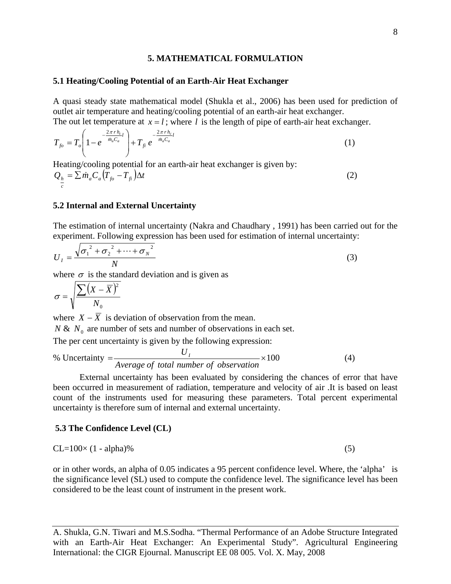#### **5. MATHEMATICAL FORMULATION**

#### **5.1 Heating/Cooling Potential of an Earth-Air Heat Exchanger**

A quasi steady state mathematical model (Shukla et al., 2006) has been used for prediction of outlet air temperature and heating/cooling potential of an earth-air heat exchanger. The out let temperature at  $x = l$ ; where *l* is the length of pipe of earth-air heat exchanger.

$$
T_{fo} = T_o \left( 1 - e^{-\frac{2\pi r h_{c_l}}{m_a C_a}} \right) + T_{fi} e^{-\frac{2\pi r h_{c_l}}{m_a C_a}}
$$
(1)

Heating/cooling potential for an earth-air heat exchanger is given by:

$$
Q_{\frac{h}{c}} = \sum \dot{m}_a C_a \left( T_{fo} - T_{fi} \right) \Delta t \tag{2}
$$

### **5.2 Internal and External Uncertainty**

The estimation of internal uncertainty (Nakra and Chaudhary , 1991) has been carried out for the experiment. Following expression has been used for estimation of internal uncertainty:

$$
U_{I} = \frac{\sqrt{{\sigma_{1}}^{2} + {\sigma_{2}}^{2} + \dots + {\sigma_{N}}^{2}}}{N}
$$
 (3)

where  $\sigma$  is the standard deviation and is given as

$$
\sigma = \sqrt{\frac{\sum (X - \overline{X})^2}{N_0}}
$$

where  $X - \overline{X}$  is deviation of observation from the mean.

 $N \& N_0$  are number of sets and number of observations in each set.

The per cent uncertainty is given by the following expression:

% Uncertainty = 
$$
\frac{U_I}{Average \ of \ total \ number \ of \ observation} \times 100
$$
 (4)

External uncertainty has been evaluated by considering the chances of error that have been occurred in measurement of radiation, temperature and velocity of air .It is based on least count of the instruments used for measuring these parameters. Total percent experimental uncertainty is therefore sum of internal and external uncertainty.

#### **5.3 The Confidence Level (CL)**

$$
CL=100\times(1-\text{alpha})\%
$$
 (5)

or in other words, an alpha of 0.05 indicates a 95 percent confidence level. Where, the 'alpha' is the significance level (SL) used to compute the confidence level. The significance level has been considered to be the least count of instrument in the present work.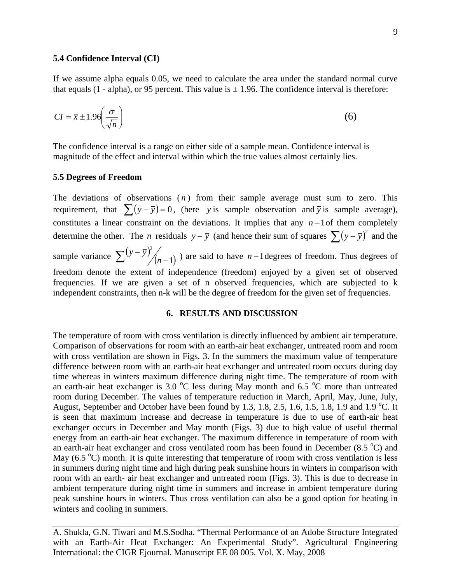#### **5.4 Confidence Interval (CI)**

If we assume alpha equals 0.05, we need to calculate the area under the standard normal curve that equals (1 - alpha), or 95 percent. This value is  $\pm$  1.96. The confidence interval is therefore:

$$
CI = \bar{x} \pm 1.96 \left( \frac{\sigma}{\sqrt{n}} \right) \tag{6}
$$

The confidence interval is a range on either side of a sample mean. Confidence interval is magnitude of the effect and interval within which the true values almost certainly lies.

#### **5.5 Degrees of Freedom**

The deviations of observations  $(n)$  from their sample average must sum to zero. This requirement, that  $\sum (y - \overline{y}) = 0$ , (here *y* is sample observation and  $\overline{y}$  is sample average), constitutes a linear constraint on the deviations. It implies that any *n* −1of them completely determine the other. The *n* residuals  $y - \overline{y}$  (and hence their sum of squares  $\sum (y - \overline{y})^2$  and the sample variance  $\sum (y - \overline{y})^2 / (n-1)$  $(y-\overline{y})^2/(n-1)$ ) are said to have *n* −1 degrees of freedom. Thus degrees of freedom denote the extent of independence (freedom) enjoyed by a given set of observed frequencies. If we are given a set of n observed frequencies, which are subjected to k independent constraints, then n-k will be the degree of freedom for the given set of frequencies.

## **6. RESULTS AND DISCUSSION**

The temperature of room with cross ventilation is directly influenced by ambient air temperature. Comparison of observations for room with an earth-air heat exchanger, untreated room and room with cross ventilation are shown in Figs. 3. In the summers the maximum value of temperature difference between room with an earth-air heat exchanger and untreated room occurs during day time whereas in winters maximum difference during night time. The temperature of room with an earth-air heat exchanger is 3.0  $\degree$ C less during May month and 6.5  $\degree$ C more than untreated room during December. The values of temperature reduction in March, April, May, June, July, August, September and October have been found by 1.3, 1.8, 2.5, 1.6, 1.5, 1.8, 1.9 and 1.9 °C. It is seen that maximum increase and decrease in temperature is due to use of earth-air heat exchanger occurs in December and May month (Figs. 3) due to high value of useful thermal energy from an earth-air heat exchanger. The maximum difference in temperature of room with an earth-air heat exchanger and cross ventilated room has been found in December  $(8.5 \degree C)$  and May  $(6.5 \degree C)$  month. It is quite interesting that temperature of room with cross ventilation is less in summers during night time and high during peak sunshine hours in winters in comparison with room with an earth- air heat exchanger and untreated room (Figs. 3). This is due to decrease in ambient temperature during night time in summers and increase in ambient temperature during peak sunshine hours in winters. Thus cross ventilation can also be a good option for heating in winters and cooling in summers.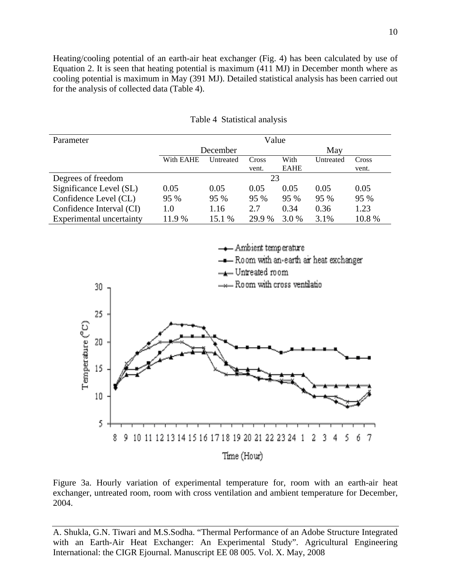Heating/cooling potential of an earth-air heat exchanger (Fig. 4) has been calculated by use of Equation 2. It is seen that heating potential is maximum (411 MJ) in December month where as cooling potential is maximum in May (391 MJ). Detailed statistical analysis has been carried out for the analysis of collected data (Table 4).

| Parameter                | Value     |           |        |             |           |       |  |  |  |
|--------------------------|-----------|-----------|--------|-------------|-----------|-------|--|--|--|
|                          |           | December  |        |             |           |       |  |  |  |
|                          | With EAHE | Untreated | Cross  | With        | Untreated | Cross |  |  |  |
|                          |           |           | vent.  | <b>EAHE</b> |           | vent. |  |  |  |
| Degrees of freedom       |           |           | 23     |             |           |       |  |  |  |
| Significance Level (SL)  | 0.05      | 0.05      | 0.05   | 0.05        | 0.05      | 0.05  |  |  |  |
| Confidence Level (CL)    | 95 %      | 95 %      | $95\%$ | 95 %        | 95 %      | 95 %  |  |  |  |
| Confidence Interval (CI) | 1.0       | 1.16      | 2.7    | 0.34        | 0.36      | 1.23  |  |  |  |
| Experimental uncertainty | 11.9 %    | 15.1 %    | 29.9 % | 3.0 %       | 3.1%      | 10.8% |  |  |  |

Table 4 Statistical analysis



Figure 3a. Hourly variation of experimental temperature for, room with an earth-air heat exchanger, untreated room, room with cross ventilation and ambient temperature for December, 2004.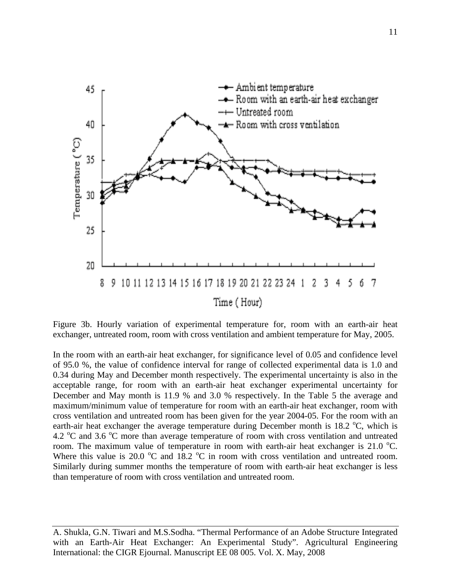

Figure 3b. Hourly variation of experimental temperature for, room with an earth-air heat exchanger, untreated room, room with cross ventilation and ambient temperature for May, 2005.

In the room with an earth-air heat exchanger, for significance level of 0.05 and confidence level of 95.0 %, the value of confidence interval for range of collected experimental data is 1.0 and 0.34 during May and December month respectively. The experimental uncertainty is also in the acceptable range, for room with an earth-air heat exchanger experimental uncertainty for December and May month is 11.9 % and 3.0 % respectively. In the Table 5 the average and maximum/minimum value of temperature for room with an earth-air heat exchanger, room with cross ventilation and untreated room has been given for the year 2004-05. For the room with an earth-air heat exchanger the average temperature during December month is  $18.2 \text{ °C}$ , which is 4.2 °C and 3.6 °C more than average temperature of room with cross ventilation and untreated room. The maximum value of temperature in room with earth-air heat exchanger is 21.0  $^{\circ}$ C. Where this value is 20.0  $\degree$ C and 18.2  $\degree$ C in room with cross ventilation and untreated room. Similarly during summer months the temperature of room with earth-air heat exchanger is less than temperature of room with cross ventilation and untreated room.

A. Shukla, G.N. Tiwari and M.S.Sodha. "Thermal Performance of an Adobe Structure Integrated with an Earth-Air Heat Exchanger: An Experimental Study". Agricultural Engineering International: the CIGR Ejournal. Manuscript EE 08 005. Vol. X. May, 2008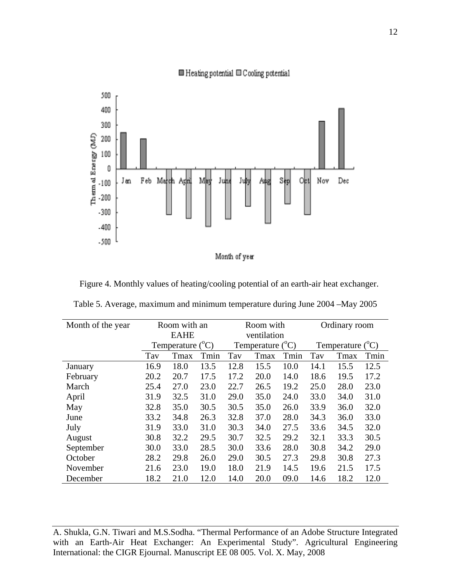

## $\blacksquare$  Heating potential  $\blacksquare$  Cooling potential

Figure 4. Monthly values of heating/cooling potential of an earth-air heat exchanger.

| Table 5. Average, maximum and minimum temperature during June 2004 – May 2005 |  |  |  |
|-------------------------------------------------------------------------------|--|--|--|
|                                                                               |  |  |  |

| Month of the year | Room with an |                                |      |      | Room with                 |      | Ordinary room             |      |      |
|-------------------|--------------|--------------------------------|------|------|---------------------------|------|---------------------------|------|------|
|                   |              | <b>EAHE</b>                    |      |      | ventilation               |      |                           |      |      |
|                   |              | $({}^{\circ}C)$<br>Temperature |      |      | Temperature $(^{\circ}C)$ |      | Temperature $(^{\circ}C)$ |      |      |
|                   | Tav          | Tmax                           | Tmin | Tav  | Tmax                      | Tmin | Tav                       | Tmax | Tmin |
| January           | 16.9         | 18.0                           | 13.5 | 12.8 | 15.5                      | 10.0 | 14.1                      | 15.5 | 12.5 |
| February          | 20.2         | 20.7                           | 17.5 | 17.2 | 20.0                      | 14.0 | 18.6                      | 19.5 | 17.2 |
| March             | 25.4         | 27.0                           | 23.0 | 22.7 | 26.5                      | 19.2 | 25.0                      | 28.0 | 23.0 |
| April             | 31.9         | 32.5                           | 31.0 | 29.0 | 35.0                      | 24.0 | 33.0                      | 34.0 | 31.0 |
| May               | 32.8         | 35.0                           | 30.5 | 30.5 | 35.0                      | 26.0 | 33.9                      | 36.0 | 32.0 |
| June              | 33.2         | 34.8                           | 26.3 | 32.8 | 37.0                      | 28.0 | 34.3                      | 36.0 | 33.0 |
| July              | 31.9         | 33.0                           | 31.0 | 30.3 | 34.0                      | 27.5 | 33.6                      | 34.5 | 32.0 |
| August            | 30.8         | 32.2                           | 29.5 | 30.7 | 32.5                      | 29.2 | 32.1                      | 33.3 | 30.5 |
| September         | 30.0         | 33.0                           | 28.5 | 30.0 | 33.6                      | 28.0 | 30.8                      | 34.2 | 29.0 |
| October           | 28.2         | 29.8                           | 26.0 | 29.0 | 30.5                      | 27.3 | 29.8                      | 30.8 | 27.3 |
| November          | 21.6         | 23.0                           | 19.0 | 18.0 | 21.9                      | 14.5 | 19.6                      | 21.5 | 17.5 |
| December          | 18.2         | 21.0                           | 12.0 | 14.0 | 20.0                      | 09.0 | 14.6                      | 18.2 | 12.0 |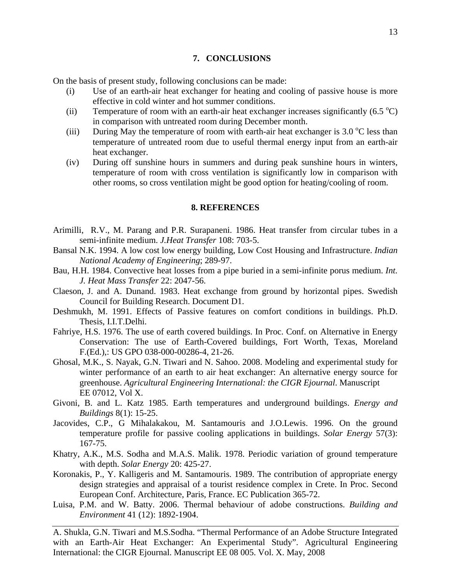#### **7. CONCLUSIONS**

On the basis of present study, following conclusions can be made:

- (i) Use of an earth-air heat exchanger for heating and cooling of passive house is more effective in cold winter and hot summer conditions.
- (ii) Temperature of room with an earth-air heat exchanger increases significantly  $(6.5 °C)$ in comparison with untreated room during December month.
- (iii) During May the temperature of room with earth-air heat exchanger is 3.0  $\degree$ C less than temperature of untreated room due to useful thermal energy input from an earth-air heat exchanger.
- (iv) During off sunshine hours in summers and during peak sunshine hours in winters, temperature of room with cross ventilation is significantly low in comparison with other rooms, so cross ventilation might be good option for heating/cooling of room.

#### **8. REFERENCES**

- Arimilli, R.V., M. Parang and P.R. Surapaneni. 1986. Heat transfer from circular tubes in a semi-infinite medium. *J.Heat Transfer* 108: 703-5.
- Bansal N.K. 1994. A low cost low energy building, Low Cost Housing and Infrastructure. *Indian National Academy of Engineering*; 289-97.
- Bau, H.H. 1984. Convective heat losses from a pipe buried in a semi-infinite porus medium. *Int. J. Heat Mass Transfer* 22: 2047-56.
- Claeson, J. and A. Dunand. 1983. Heat exchange from ground by horizontal pipes. Swedish Council for Building Research. Document D1.
- Deshmukh, M. 1991. Effects of Passive features on comfort conditions in buildings. Ph.D. Thesis, I.I.T.Delhi.
- Fahriye, H.S. 1976. The use of earth covered buildings. In Proc. Conf. on Alternative in Energy Conservation: The use of Earth-Covered buildings, Fort Worth, Texas, Moreland F.(Ed.),: US GPO 038-000-00286-4, 21-26.
- Ghosal, M.K., S. Nayak, G.N. Tiwari and N. Sahoo. 2008. Modeling and experimental study for winter performance of an earth to air heat exchanger: An alternative energy source for greenhouse. *Agricultural Engineering International: the CIGR Ejournal*. Manuscript EE 07012, Vol X.
- Givoni, B. and L. Katz 1985. Earth temperatures and underground buildings. *Energy and Buildings* 8(1): 15-25.
- Jacovides, C.P., G Mihalakakou, M. Santamouris and J.O.Lewis. 1996. On the ground temperature profile for passive cooling applications in buildings. *Solar Energy* 57(3): 167-75.
- Khatry, A.K., M.S. Sodha and M.A.S. Malik. 1978. Periodic variation of ground temperature with depth. *Solar Energy* 20: 425-27.
- Koronakis, P., Y. Kalligeris and M. Santamouris. 1989. The contribution of appropriate energy design strategies and appraisal of a tourist residence complex in Crete. In Proc. Second European Conf. Architecture, Paris, France. EC Publication 365-72.
- Luisa, P.M. and W. Batty. 2006. Thermal behaviour of adobe constructions. *Building and Environment* 41 (12): 1892-1904.

A. Shukla, G.N. Tiwari and M.S.Sodha. "Thermal Performance of an Adobe Structure Integrated with an Earth-Air Heat Exchanger: An Experimental Study". Agricultural Engineering International: the CIGR Ejournal. Manuscript EE 08 005. Vol. X. May, 2008